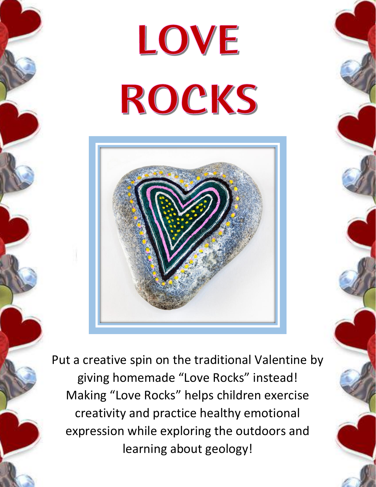## LOVE ROCKS



Put a creative spin on the traditional Valentine by giving homemade "Love Rocks" instead! Making "Love Rocks" helps children exercise creativity and practice healthy emotional expression while exploring the outdoors and learning about geology!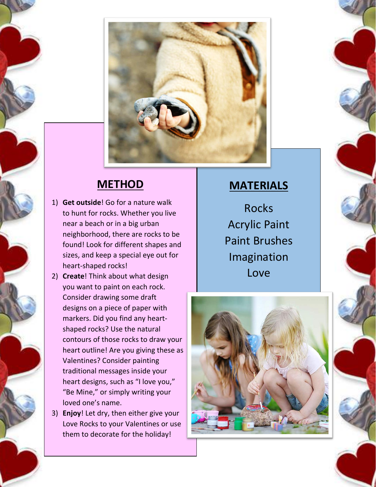

## **METHOD**

- 1) **Get outside**! Go for a nature walk to hunt for rocks. Whether you live near a beach or in a big urban neighborhood, there are rocks to be found! Look for different shapes and sizes, and keep a special eye out for heart-shaped rocks!
- 2) **Create**! Think about what design you want to paint on each rock. Consider drawing some draft designs on a piece of paper with markers. Did you find any heartshaped rocks? Use the natural contours of those rocks to draw your heart outline! Are you giving these as Valentines? Consider painting traditional messages inside your heart designs, such as "I love you," "Be Mine," or simply writing your loved one's name.
- 3) **Enjoy**! Let dry, then either give your Love Rocks to your Valentines or use them to decorate for the holiday!

## **MATERIALS**

Rocks Acrylic Paint Paint Brushes Imagination Love